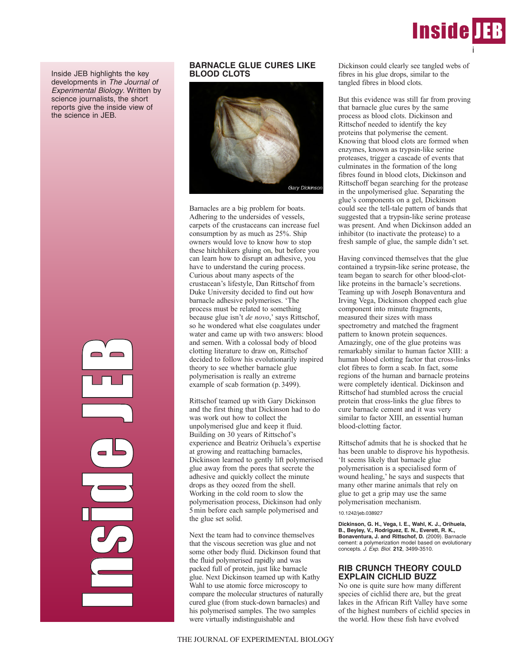

Inside JEB highlights the key developments in The Journal of Experimental Biology. Written by science journalists, the short reports give the inside view of the science in JEB.

> **Industrial n**  $\mathcal{C}_{\mathcal{P}}$ in 1999 and 1999 d<br>J e J EP)

## **BARNACLE GLUE CURES LIKE BLOOD CLOTS**



Barnacles are a big problem for boats. Adhering to the undersides of vessels, carpets of the crustaceans can increase fuel consumption by as much as 25%. Ship owners would love to know how to stop these hitchhikers gluing on, but before you can learn how to disrupt an adhesive, you have to understand the curing process. Curious about many aspects of the crustacean's lifestyle, Dan Rittschof from Duke University decided to find out how barnacle adhesive polymerises. 'The process must be related to something because glue isn't *de novo*,' says Rittschof, so he wondered what else coagulates under water and came up with two answers: blood and semen. With a colossal body of blood clotting literature to draw on, Rittschof decided to follow his evolutionarily inspired theory to see whether barnacle glue polymerisation is really an extreme example of scab formation (p. 3499).

Rittschof teamed up with Gary Dickinson and the first thing that Dickinson had to do was work out how to collect the unpolymerised glue and keep it fluid. Building on 30 years of Rittschof's experience and Beatriz Orihuela's expertise at growing and reattaching barnacles, Dickinson learned to gently lift polymerised glue away from the pores that secrete the adhesive and quickly collect the minute drops as they oozed from the shell. Working in the cold room to slow the polymerisation process, Dickinson had only 5 min before each sample polymerised and the glue set solid.

Next the team had to convince themselves that the viscous secretion was glue and not some other body fluid. Dickinson found that the fluid polymerised rapidly and was packed full of protein, just like barnacle glue. Next Dickinson teamed up with Kathy Wahl to use atomic force microscopy to compare the molecular structures of naturally cured glue (from stuck-down barnacles) and his polymerised samples. The two samples were virtually indistinguishable and

Dickinson could clearly see tangled webs of fibres in his glue drops, similar to the tangled fibres in blood clots.

But this evidence was still far from proving that barnacle glue cures by the same process as blood clots. Dickinson and Rittschof needed to identify the key proteins that polymerise the cement. Knowing that blood clots are formed when enzymes, known as trypsin-like serine proteases, trigger a cascade of events that culminates in the formation of the long fibres found in blood clots, Dickinson and Rittschoff began searching for the protease in the unpolymerised glue. Separating the glue's components on a gel, Dickinson could see the tell-tale pattern of bands that suggested that a trypsin-like serine protease was present. And when Dickinson added an inhibitor (to inactivate the protease) to a fresh sample of glue, the sample didn't set.

Having convinced themselves that the glue contained a trypsin-like serine protease, the team began to search for other blood-clotlike proteins in the barnacle's secretions. Teaming up with Joseph Bonaventura and Irving Vega, Dickinson chopped each glue component into minute fragments, measured their sizes with mass spectrometry and matched the fragment pattern to known protein sequences. Amazingly, one of the glue proteins was remarkably similar to human factor XIII: a human blood clotting factor that cross-links clot fibres to form a scab. In fact, some regions of the human and barnacle proteins were completely identical. Dickinson and Rittschof had stumbled across the crucial protein that cross-links the glue fibres to cure barnacle cement and it was very similar to factor XIII, an essential human blood-clotting factor.

Rittschof admits that he is shocked that he has been unable to disprove his hypothesis. 'It seems likely that barnacle glue polymerisation is a specialised form of wound healing,' he says and suspects that many other marine animals that rely on glue to get a grip may use the same polymerisation mechanism.

10.1242/jeb.038927

**Dickinson, G. H., Vega, I. E., Wahl, K. J., Orihuela, B., Beyley, V., Rodriguez, E. N., Everett, R. K., Bonaventura, J. and Rittschof, D.** (2009). Barnacle cement: a polymerization model based on evolutionary concepts. J. Exp. Biol. **212**, 3499-3510.

### **RIB CRUNCH THEORY COULD EXPLAIN CICHLID BUZZ**

No one is quite sure how many different species of cichlid there are, but the great lakes in the African Rift Valley have some of the highest numbers of cichlid species in the world. How these fish have evolved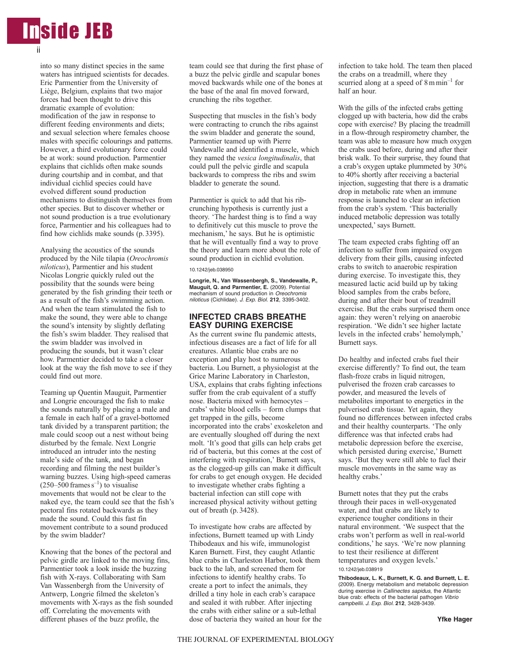

into so many distinct species in the same waters has intrigued scientists for decades. Eric Parmentier from the University of Liège, Belgium, explains that two major forces had been thought to drive this dramatic example of evolution: modification of the jaw in response to different feeding environments and diets; and sexual selection where females choose males with specific colourings and patterns. However, a third evolutionary force could be at work: sound production. Parmentier explains that cichlids often make sounds during courtship and in combat, and that individual cichlid species could have evolved different sound production mechanisms to distinguish themselves from other species. But to discover whether or not sound production is a true evolutionary force, Parmentier and his colleagues had to find how cichlids make sounds (p. 3395).

Analysing the acoustics of the sounds produced by the Nile tilapia (*Oreochromis niloticus*), Parmentier and his student Nicolas Longrie quickly ruled out the possibility that the sounds were being generated by the fish grinding their teeth or as a result of the fish's swimming action. And when the team stimulated the fish to make the sound, they were able to change the sound's intensity by slightly deflating the fish's swim bladder. They realised that the swim bladder was involved in producing the sounds, but it wasn't clear how. Parmentier decided to take a closer look at the way the fish move to see if they could find out more.

Teaming up Quentin Mauguit, Parmentier and Longrie encouraged the fish to make the sounds naturally by placing a male and a female in each half of a gravel-bottomed tank divided by a transparent partition; the male could scoop out a nest without being disturbed by the female. Next Longrie introduced an intruder into the nesting male's side of the tank, and began recording and filming the nest builder's warning buzzes. Using high-speed cameras  $(250-500$  frames s<sup>-1</sup>) to visualise movements that would not be clear to the naked eye, the team could see that the fish's pectoral fins rotated backwards as they made the sound. Could this fast fin movement contribute to a sound produced by the swim bladder?

Knowing that the bones of the pectoral and pelvic girdle are linked to the moving fins, Parmentier took a look inside the buzzing fish with X-rays. Collaborating with Sam Van Wassenbergh from the University of Antwerp, Longrie filmed the skeleton's movements with X-rays as the fish sounded off. Correlating the movements with different phases of the buzz profile, the

team could see that during the first phase of a buzz the pelvic girdle and scapular bones moved backwards while one of the bones at the base of the anal fin moved forward, crunching the ribs together.

Suspecting that muscles in the fish's body were contracting to crunch the ribs against the swim bladder and generate the sound, Parmentier teamed up with Pierre Vandewalle and identified a muscle, which they named the *vesica longitudinalis*, that could pull the pelvic girdle and scapula backwards to compress the ribs and swim bladder to generate the sound.

Parmentier is quick to add that his ribcrunching hypothesis is currently just a theory. 'The hardest thing is to find a way to definitively cut this muscle to prove the mechanism,' he says. But he is optimistic that he will eventually find a way to prove the theory and learn more about the role of sound production in cichlid evolution.

10.1242/jeb.038950

**Longrie, N., Van Wassenbergh, S., Vandewalle, P., Mauguit, Q. and Parmentier, E.** (2009). Potential mechanism of sound production in Oreochromis niloticus (Cichlidae). J. Exp. Biol. **212**, 3395-3402.

#### **INFECTED CRABS BREATHE EASY DURING EXERCISE**

As the current swine flu pandemic attests, infectious diseases are a fact of life for all creatures. Atlantic blue crabs are no exception and play host to numerous bacteria. Lou Burnett, a physiologist at the Grice Marine Laboratory in Charleston, USA, explains that crabs fighting infections suffer from the crab equivalent of a stuffy nose. Bacteria mixed with hemocytes – crabs' white blood cells – form clumps that get trapped in the gills, become incorporated into the crabs' exoskeleton and are eventually sloughed off during the next molt. 'It's good that gills can help crabs get rid of bacteria, but this comes at the cost of interfering with respiration,' Burnett says, as the clogged-up gills can make it difficult for crabs to get enough oxygen. He decided to investigate whether crabs fighting a bacterial infection can still cope with increased physical activity without getting out of breath (p. 3428).

To investigate how crabs are affected by infections, Burnett teamed up with Lindy Thibodeaux and his wife, immunologist Karen Burnett. First, they caught Atlantic blue crabs in Charleston Harbor, took them back to the lab, and screened them for infections to identify healthy crabs. To create a port to infect the animals, they drilled a tiny hole in each crab's carapace and sealed it with rubber. After injecting the crabs with either saline or a sub-lethal dose of bacteria they waited an hour for the infection to take hold. The team then placed the crabs on a treadmill, where they scurried along at a speed of 8 m min<sup>-1</sup> for half an hour.

With the gills of the infected crabs getting clogged up with bacteria, how did the crabs cope with exercise? By placing the treadmill in a flow-through respirometry chamber, the team was able to measure how much oxygen the crabs used before, during and after their brisk walk. To their surprise, they found that a crab's oxygen uptake plummeted by 30% to 40% shortly after receiving a bacterial injection, suggesting that there is a dramatic drop in metabolic rate when an immune response is launched to clear an infection from the crab's system. 'This bacterially induced metabolic depression was totally unexpected,' says Burnett.

The team expected crabs fighting off an infection to suffer from impaired oxygen delivery from their gills, causing infected crabs to switch to anaerobic respiration during exercise. To investigate this, they measured lactic acid build up by taking blood samples from the crabs before, during and after their bout of treadmill exercise. But the crabs surprised them once again: they weren't relying on anaerobic respiration. 'We didn't see higher lactate levels in the infected crabs' hemolymph,' Burnett says.

Do healthy and infected crabs fuel their exercise differently? To find out, the team flash-froze crabs in liquid nitrogen, pulverised the frozen crab carcasses to powder, and measured the levels of metabolites important to energetics in the pulverised crab tissue. Yet again, they found no differences between infected crabs and their healthy counterparts. 'The only difference was that infected crabs had metabolic depression before the exercise, which persisted during exercise,' Burnett says. 'But they were still able to fuel their muscle movements in the same way as healthy crabs.'

Burnett notes that they put the crabs through their paces in well-oxygenated water, and that crabs are likely to experience tougher conditions in their natural environment. 'We suspect that the crabs won't perform as well in real-world conditions,' he says. 'We're now planning to test their resilience at different temperatures and oxygen levels.' 10.1242/jeb.038919

**Thibodeaux, L. K., Burnett, K. G. and Burnett, L. E.** (2009). Energy metabolism and metabolic depression during exercise in Callinectes sapidus, the Atlantic blue crab: effects of the bacterial pathogen Vibrio campbellii. J. Exp. Biol. **212**, 3428-3439.